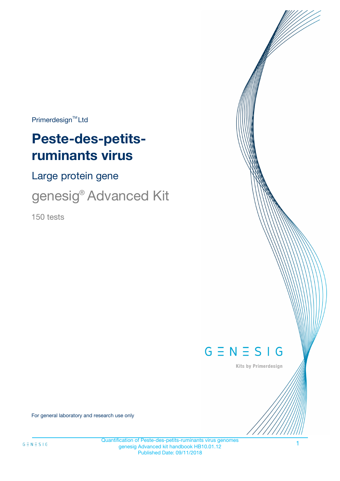$Primerdesign^{\text{TM}}Ltd$ 

# **Peste-des-petitsruminants virus**

Large protein gene

genesig® Advanced Kit

150 tests



Kits by Primerdesign

For general laboratory and research use only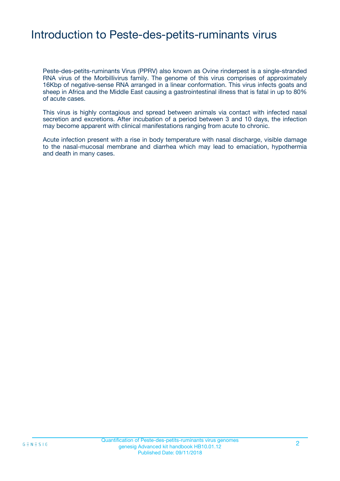# Introduction to Peste-des-petits-ruminants virus

Peste-des-petits-ruminants Virus (PPRV) also known as Ovine rinderpest is a single-stranded RNA virus of the Morbillivirus family. The genome of this virus comprises of approximately 16Kbp of negative-sense RNA arranged in a linear conformation. This virus infects goats and sheep in Africa and the Middle East causing a gastrointestinal illness that is fatal in up to 80% of acute cases.

This virus is highly contagious and spread between animals via contact with infected nasal secretion and excretions. After incubation of a period between 3 and 10 days, the infection may become apparent with clinical manifestations ranging from acute to chronic.

Acute infection present with a rise in body temperature with nasal discharge, visible damage to the nasal-mucosal membrane and diarrhea which may lead to emaciation, hypothermia and death in many cases.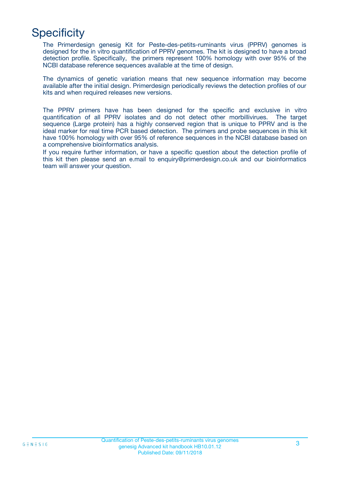# **Specificity**

The Primerdesign genesig Kit for Peste-des-petits-ruminants virus (PPRV) genomes is designed for the in vitro quantification of PPRV genomes. The kit is designed to have a broad detection profile. Specifically, the primers represent 100% homology with over 95% of the NCBI database reference sequences available at the time of design.

The dynamics of genetic variation means that new sequence information may become available after the initial design. Primerdesign periodically reviews the detection profiles of our kits and when required releases new versions.

The PPRV primers have has been designed for the specific and exclusive in vitro quantification of all PPRV isolates and do not detect other morbillivirues. The target sequence (Large protein) has a highly conserved region that is unique to PPRV and is the ideal marker for real time PCR based detection. The primers and probe sequences in this kit have 100% homology with over 95% of reference sequences in the NCBI database based on a comprehensive bioinformatics analysis.

If you require further information, or have a specific question about the detection profile of this kit then please send an e.mail to enquiry@primerdesign.co.uk and our bioinformatics team will answer your question.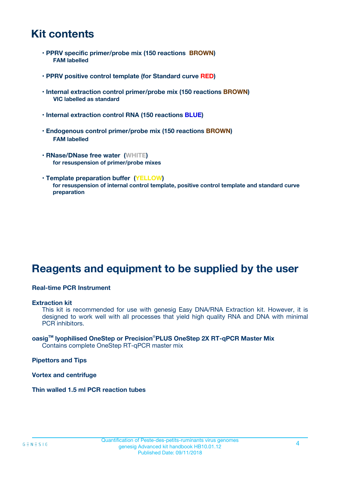# **Kit contents**

- **PPRV specific primer/probe mix (150 reactions BROWN) FAM labelled**
- **PPRV positive control template (for Standard curve RED)**
- **Internal extraction control primer/probe mix (150 reactions BROWN) VIC labelled as standard**
- **Internal extraction control RNA (150 reactions BLUE)**
- **Endogenous control primer/probe mix (150 reactions BROWN) FAM labelled**
- **RNase/DNase free water (WHITE) for resuspension of primer/probe mixes**
- **Template preparation buffer (YELLOW) for resuspension of internal control template, positive control template and standard curve preparation**

# **Reagents and equipment to be supplied by the user**

#### **Real-time PCR Instrument**

#### **Extraction kit**

This kit is recommended for use with genesig Easy DNA/RNA Extraction kit. However, it is designed to work well with all processes that yield high quality RNA and DNA with minimal PCR inhibitors.

#### **oasigTM lyophilised OneStep or Precision**®**PLUS OneStep 2X RT-qPCR Master Mix** Contains complete OneStep RT-qPCR master mix

**Pipettors and Tips**

**Vortex and centrifuge**

**Thin walled 1.5 ml PCR reaction tubes**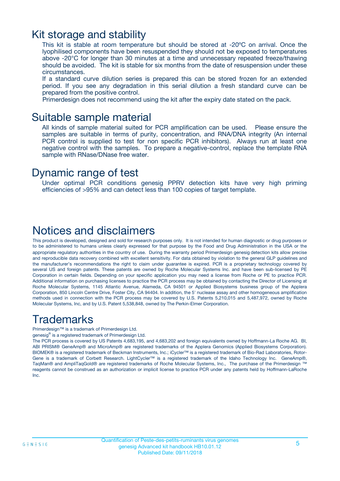# Kit storage and stability

This kit is stable at room temperature but should be stored at -20ºC on arrival. Once the lyophilised components have been resuspended they should not be exposed to temperatures above -20°C for longer than 30 minutes at a time and unnecessary repeated freeze/thawing should be avoided. The kit is stable for six months from the date of resuspension under these circumstances.

If a standard curve dilution series is prepared this can be stored frozen for an extended period. If you see any degradation in this serial dilution a fresh standard curve can be prepared from the positive control.

Primerdesign does not recommend using the kit after the expiry date stated on the pack.

### Suitable sample material

All kinds of sample material suited for PCR amplification can be used. Please ensure the samples are suitable in terms of purity, concentration, and RNA/DNA integrity (An internal PCR control is supplied to test for non specific PCR inhibitors). Always run at least one negative control with the samples. To prepare a negative-control, replace the template RNA sample with RNase/DNase free water.

### Dynamic range of test

Under optimal PCR conditions genesig PPRV detection kits have very high priming efficiencies of >95% and can detect less than 100 copies of target template.

# Notices and disclaimers

This product is developed, designed and sold for research purposes only. It is not intended for human diagnostic or drug purposes or to be administered to humans unless clearly expressed for that purpose by the Food and Drug Administration in the USA or the appropriate regulatory authorities in the country of use. During the warranty period Primerdesign genesig detection kits allow precise and reproducible data recovery combined with excellent sensitivity. For data obtained by violation to the general GLP guidelines and the manufacturer's recommendations the right to claim under guarantee is expired. PCR is a proprietary technology covered by several US and foreign patents. These patents are owned by Roche Molecular Systems Inc. and have been sub-licensed by PE Corporation in certain fields. Depending on your specific application you may need a license from Roche or PE to practice PCR. Additional information on purchasing licenses to practice the PCR process may be obtained by contacting the Director of Licensing at Roche Molecular Systems, 1145 Atlantic Avenue, Alameda, CA 94501 or Applied Biosystems business group of the Applera Corporation, 850 Lincoln Centre Drive, Foster City, CA 94404. In addition, the 5' nuclease assay and other homogeneous amplification methods used in connection with the PCR process may be covered by U.S. Patents 5,210,015 and 5,487,972, owned by Roche Molecular Systems, Inc, and by U.S. Patent 5,538,848, owned by The Perkin-Elmer Corporation.

# Trademarks

Primerdesign™ is a trademark of Primerdesign Ltd.

genesig® is a registered trademark of Primerdesign Ltd.

The PCR process is covered by US Patents 4,683,195, and 4,683,202 and foreign equivalents owned by Hoffmann-La Roche AG. BI, ABI PRISM® GeneAmp® and MicroAmp® are registered trademarks of the Applera Genomics (Applied Biosystems Corporation). BIOMEK® is a registered trademark of Beckman Instruments, Inc.; iCycler™ is a registered trademark of Bio-Rad Laboratories, Rotor-Gene is a trademark of Corbett Research. LightCycler™ is a registered trademark of the Idaho Technology Inc. GeneAmp®, TaqMan® and AmpliTaqGold® are registered trademarks of Roche Molecular Systems, Inc., The purchase of the Primerdesign ™ reagents cannot be construed as an authorization or implicit license to practice PCR under any patents held by Hoffmann-LaRoche Inc.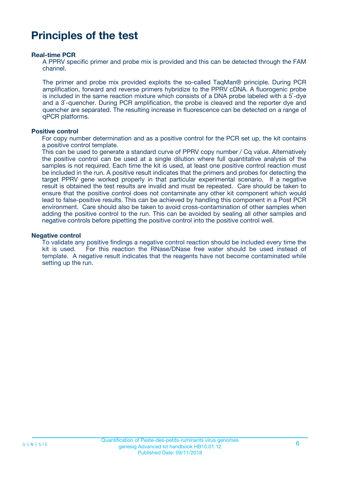# **Principles of the test**

#### **Real-time PCR**

A PPRV specific primer and probe mix is provided and this can be detected through the FAM channel.

The primer and probe mix provided exploits the so-called TaqMan® principle. During PCR amplification, forward and reverse primers hybridize to the PPRV cDNA. A fluorogenic probe is included in the same reaction mixture which consists of a DNA probe labeled with a 5`-dye and a 3`-quencher. During PCR amplification, the probe is cleaved and the reporter dye and quencher are separated. The resulting increase in fluorescence can be detected on a range of qPCR platforms.

#### **Positive control**

For copy number determination and as a positive control for the PCR set up, the kit contains a positive control template.

This can be used to generate a standard curve of PPRV copy number / Cq value. Alternatively the positive control can be used at a single dilution where full quantitative analysis of the samples is not required. Each time the kit is used, at least one positive control reaction must be included in the run. A positive result indicates that the primers and probes for detecting the target PPRV gene worked properly in that particular experimental scenario. If a negative result is obtained the test results are invalid and must be repeated. Care should be taken to ensure that the positive control does not contaminate any other kit component which would lead to false-positive results. This can be achieved by handling this component in a Post PCR environment. Care should also be taken to avoid cross-contamination of other samples when adding the positive control to the run. This can be avoided by sealing all other samples and negative controls before pipetting the positive control into the positive control well.

#### **Negative control**

To validate any positive findings a negative control reaction should be included every time the kit is used. For this reaction the RNase/DNase free water should be used instead of template. A negative result indicates that the reagents have not become contaminated while setting up the run.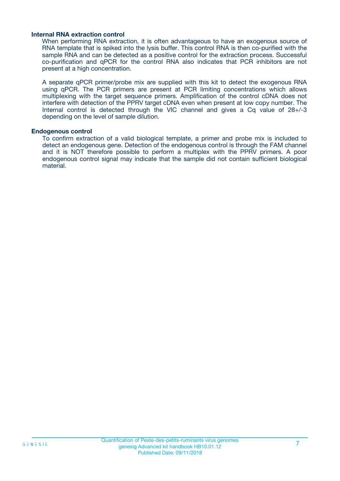#### **Internal RNA extraction control**

When performing RNA extraction, it is often advantageous to have an exogenous source of RNA template that is spiked into the lysis buffer. This control RNA is then co-purified with the sample RNA and can be detected as a positive control for the extraction process. Successful co-purification and qPCR for the control RNA also indicates that PCR inhibitors are not present at a high concentration.

A separate qPCR primer/probe mix are supplied with this kit to detect the exogenous RNA using qPCR. The PCR primers are present at PCR limiting concentrations which allows multiplexing with the target sequence primers. Amplification of the control cDNA does not interfere with detection of the PPRV target cDNA even when present at low copy number. The Internal control is detected through the VIC channel and gives a Cq value of 28+/-3 depending on the level of sample dilution.

#### **Endogenous control**

To confirm extraction of a valid biological template, a primer and probe mix is included to detect an endogenous gene. Detection of the endogenous control is through the FAM channel and it is NOT therefore possible to perform a multiplex with the PPRV primers. A poor endogenous control signal may indicate that the sample did not contain sufficient biological material.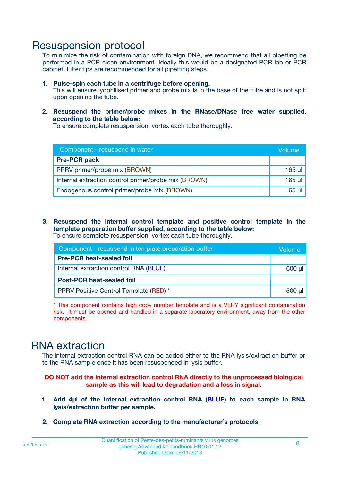# Resuspension protocol

To minimize the risk of contamination with foreign DNA, we recommend that all pipetting be performed in a PCR clean environment. Ideally this would be a designated PCR lab or PCR cabinet. Filter tips are recommended for all pipetting steps.

- **1. Pulse-spin each tube in a centrifuge before opening.** This will ensure lyophilised primer and probe mix is in the base of the tube and is not spilt upon opening the tube.
- **2. Resuspend the primer/probe mixes in the RNase/DNase free water supplied, according to the table below:**

To ensure complete resuspension, vortex each tube thoroughly.

| Component - resuspend in water                       | Volume   |
|------------------------------------------------------|----------|
| <b>Pre-PCR pack</b>                                  |          |
| PPRV primer/probe mix (BROWN)                        | $165$ µl |
| Internal extraction control primer/probe mix (BROWN) | $165$ µl |
| Endogenous control primer/probe mix (BROWN)          | 165 µl   |

**3. Resuspend the internal control template and positive control template in the template preparation buffer supplied, according to the table below:** To ensure complete resuspension, vortex each tube thoroughly.

| Component - resuspend in template preparation buffer |          |  |  |
|------------------------------------------------------|----------|--|--|
| <b>Pre-PCR heat-sealed foil</b>                      |          |  |  |
| Internal extraction control RNA (BLUE)               |          |  |  |
| <b>Post-PCR heat-sealed foil</b>                     |          |  |  |
| PPRV Positive Control Template (RED) *               | $500$ µl |  |  |

\* This component contains high copy number template and is a VERY significant contamination risk. It must be opened and handled in a separate laboratory environment, away from the other components.

# RNA extraction

The internal extraction control RNA can be added either to the RNA lysis/extraction buffer or to the RNA sample once it has been resuspended in lysis buffer.

#### **DO NOT add the internal extraction control RNA directly to the unprocessed biological sample as this will lead to degradation and a loss in signal.**

- **1. Add 4µ**l **of the Internal extraction control RNA (BLUE) to each sample in RNA lysis/extraction buffer per sample.**
- **2. Complete RNA extraction according to the manufacturer's protocols.**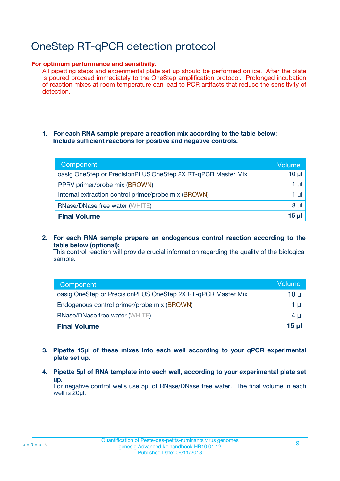# OneStep RT-qPCR detection protocol

#### **For optimum performance and sensitivity.**

All pipetting steps and experimental plate set up should be performed on ice. After the plate is poured proceed immediately to the OneStep amplification protocol. Prolonged incubation of reaction mixes at room temperature can lead to PCR artifacts that reduce the sensitivity of detection.

#### **1. For each RNA sample prepare a reaction mix according to the table below: Include sufficient reactions for positive and negative controls.**

| Component                                                    | <b>Volume</b> |
|--------------------------------------------------------------|---------------|
| oasig OneStep or PrecisionPLUS OneStep 2X RT-qPCR Master Mix | $10 \mu$      |
| PPRV primer/probe mix (BROWN)                                | 1 µl          |
| Internal extraction control primer/probe mix (BROWN)         | 1 µI          |
| <b>RNase/DNase free water (WHITE)</b>                        | $3 \mu$       |
| <b>Final Volume</b>                                          | 15 ul         |

**2. For each RNA sample prepare an endogenous control reaction according to the table below (optional):**

This control reaction will provide crucial information regarding the quality of the biological sample.

| Component                                                    | Volume          |
|--------------------------------------------------------------|-----------------|
| oasig OneStep or PrecisionPLUS OneStep 2X RT-qPCR Master Mix | 10 µl           |
| Endogenous control primer/probe mix (BROWN)                  | 1 µl            |
| <b>RNase/DNase free water (WHITE)</b>                        | $4 \mu$         |
| <b>Final Volume</b>                                          | $15$ µl $\vert$ |

- **3. Pipette 15µl of these mixes into each well according to your qPCR experimental plate set up.**
- **4. Pipette 5µl of RNA template into each well, according to your experimental plate set up.**

For negative control wells use 5µl of RNase/DNase free water. The final volume in each well is 20µl.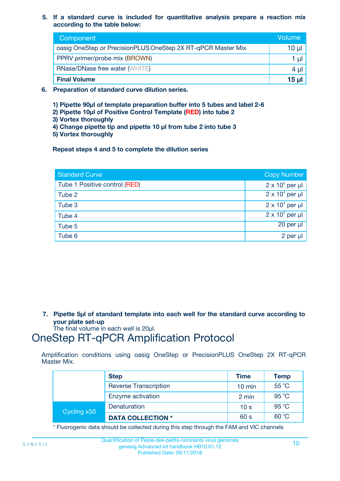**5. If a standard curve is included for quantitative analysis prepare a reaction mix according to the table below:**

| Component                                                    | Volume       |
|--------------------------------------------------------------|--------------|
| oasig OneStep or PrecisionPLUS OneStep 2X RT-qPCR Master Mix | 10 µl        |
| PPRV primer/probe mix (BROWN)                                |              |
| <b>RNase/DNase free water (WHITE)</b>                        | 4 µl         |
| <b>Final Volume</b>                                          | <u>15 µl</u> |

- **6. Preparation of standard curve dilution series.**
	- **1) Pipette 90µl of template preparation buffer into 5 tubes and label 2-6**
	- **2) Pipette 10µl of Positive Control Template (RED) into tube 2**
	- **3) Vortex thoroughly**
	- **4) Change pipette tip and pipette 10 µl from tube 2 into tube 3**
	- **5) Vortex thoroughly**

**Repeat steps 4 and 5 to complete the dilution series**

| <b>Standard Curve</b>         | <b>Copy Number</b>     |
|-------------------------------|------------------------|
| Tube 1 Positive control (RED) | $2 \times 10^5$ per µl |
| Tube 2                        | $2 \times 10^4$ per µl |
| Tube 3                        | $2 \times 10^3$ per µl |
| Tube 4                        | $2 \times 10^2$ per µl |
| Tube 5                        | 20 per µl              |
| Tube 6                        | 2 per µl               |

**7. Pipette 5µl of standard template into each well for the standard curve according to your plate set-up**

The final volume in each well is 20µl.

# OneStep RT-qPCR Amplification Protocol

Amplification conditions using oasig OneStep or PrecisionPLUS OneStep 2X RT-qPCR Master Mix.

|             | <b>Step</b>                  | <b>Time</b>      | <b>Temp</b> |
|-------------|------------------------------|------------------|-------------|
|             | <b>Reverse Transcription</b> | $10 \text{ min}$ | 55 °C       |
|             | Enzyme activation            | 2 min            | 95 °C       |
| Cycling x50 | Denaturation                 | 10 <sub>s</sub>  | 95 °C       |
|             | <b>DATA COLLECTION *</b>     | 60 s             | 60 °C       |

\* Fluorogenic data should be collected during this step through the FAM and VIC channels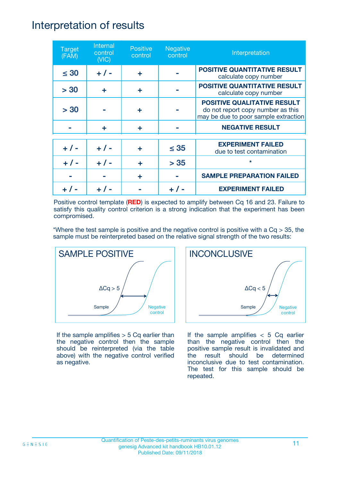# Interpretation of results

| <b>Target</b><br>(FAM) | Internal<br>control<br>(NIC) | <b>Positive</b><br>control | <b>Negative</b><br>control | Interpretation                                                                                                  |
|------------------------|------------------------------|----------------------------|----------------------------|-----------------------------------------------------------------------------------------------------------------|
| $\leq 30$              | $+ 1 -$                      | ÷                          |                            | <b>POSITIVE QUANTITATIVE RESULT</b><br>calculate copy number                                                    |
| > 30                   | ٠                            | ÷                          |                            | <b>POSITIVE QUANTITATIVE RESULT</b><br>calculate copy number                                                    |
| > 30                   |                              | ÷                          |                            | <b>POSITIVE QUALITATIVE RESULT</b><br>do not report copy number as this<br>may be due to poor sample extraction |
|                        | ÷                            | ÷                          |                            | <b>NEGATIVE RESULT</b>                                                                                          |
| $+ 1 -$                | $+ 1 -$                      | ÷                          | $\leq$ 35                  | <b>EXPERIMENT FAILED</b><br>due to test contamination                                                           |
| $+ 1 -$                | $+ 1 -$                      | ÷                          | > 35                       | $\star$                                                                                                         |
|                        |                              | ÷                          |                            | <b>SAMPLE PREPARATION FAILED</b>                                                                                |
|                        |                              |                            |                            | <b>EXPERIMENT FAILED</b>                                                                                        |

Positive control template (**RED**) is expected to amplify between Cq 16 and 23. Failure to satisfy this quality control criterion is a strong indication that the experiment has been compromised.

\*Where the test sample is positive and the negative control is positive with a  $Cq > 35$ , the sample must be reinterpreted based on the relative signal strength of the two results:



If the sample amplifies  $> 5$  Cq earlier than the negative control then the sample should be reinterpreted (via the table above) with the negative control verified as negative.



If the sample amplifies  $< 5$  Cq earlier than the negative control then the positive sample result is invalidated and the result should be determined inconclusive due to test contamination. The test for this sample should be repeated.